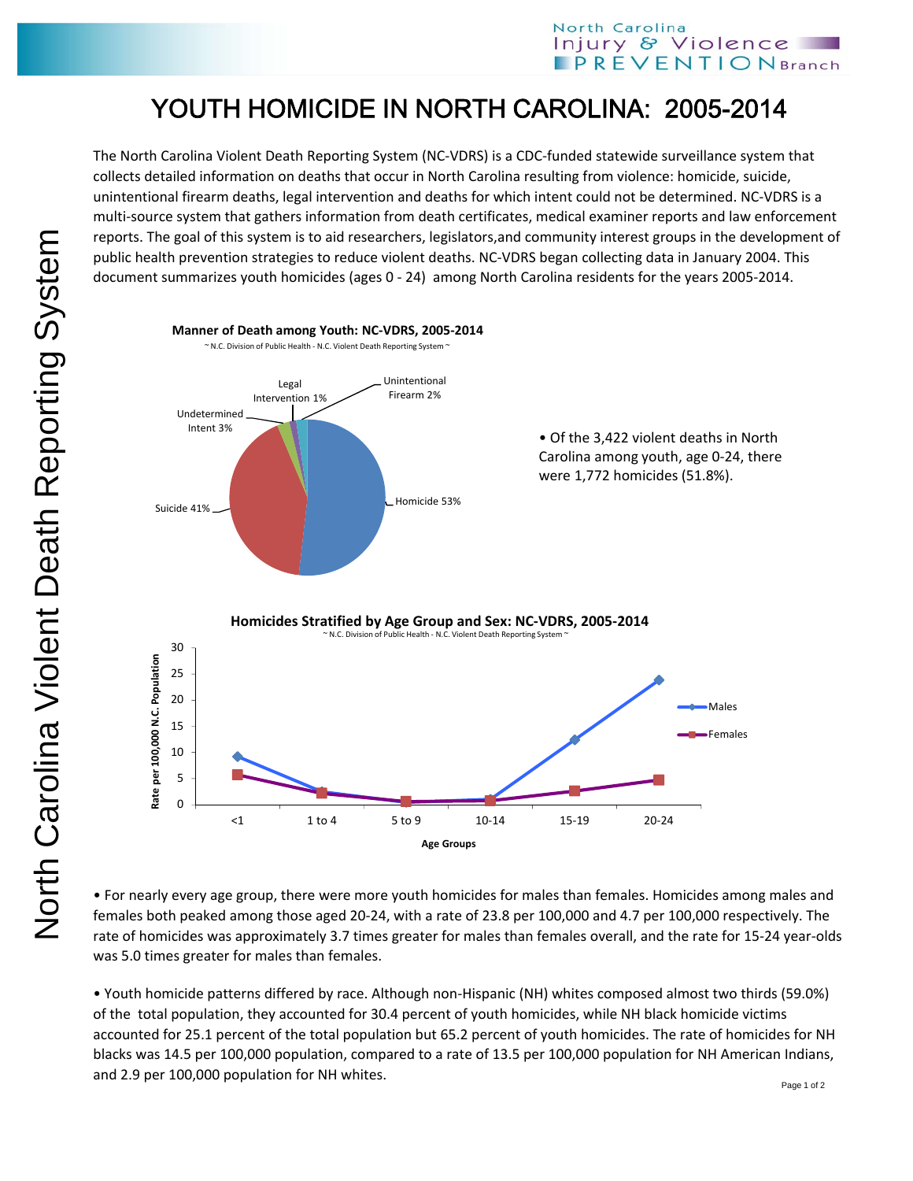## North Carolina Injury & Violence **PREVENTION** Branch

## YOUTH HOMICIDE IN NORTH CAROLINA: 2005-2014

The North Carolina Violent Death Reporting System (NC‐VDRS) is a CDC‐funded statewide surveillance system that collects detailed information on deaths that occur in North Carolina resulting from violence: homicide, suicide, unintentional firearm deaths, legal intervention and deaths for which intent could not be determined. NC‐VDRS is a multi‐source system that gathers information from death certificates, medical examiner reports and law enforcement reports. The goal of this system is to aid researchers, legislators,and community interest groups in the development of public health prevention strategies to reduce violent deaths. NC‐VDRS began collecting data in January 2004. This document summarizes youth homicides (ages 0 ‐ 24) among North Carolina residents for the years 2005‐2014.



• For nearly every age group, there were more youth homicides for males than females. Homicides among males and females both peaked among those aged 20‐24, with a rate of 23.8 per 100,000 and 4.7 per 100,000 respectively. The rate of homicides was approximately 3.7 times greater for males than females overall, and the rate for 15-24 year-olds was 5.0 times greater for males than females.

• Youth homicide patterns differed by race. Although non‐Hispanic (NH) whites composed almost two thirds (59.0%) of the total population, they accounted for 30.4 percent of youth homicides, while NH black homicide victims accounted for 25.1 percent of the total population but 65.2 percent of youth homicides. The rate of homicides for NH blacks was 14.5 per 100,000 population, compared to a rate of 13.5 per 100,000 population for NH American Indians, and 2.9 per 100,000 population for NH whites.